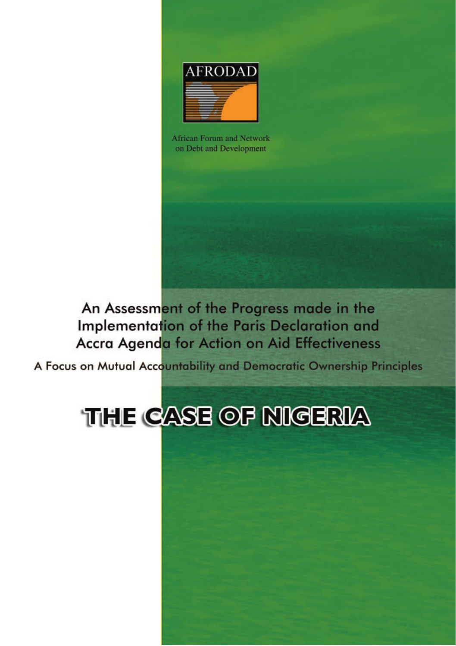

African Forum and Network on Debt and Development

An Assessment of the Progress made in the **Implementation of the Paris Declaration and** Accra Agenda for Action on Aid Effectiveness

A Focus on Mutual Accountability and Democratic Ownership Principles

# **THE CASE OF NIGERIA**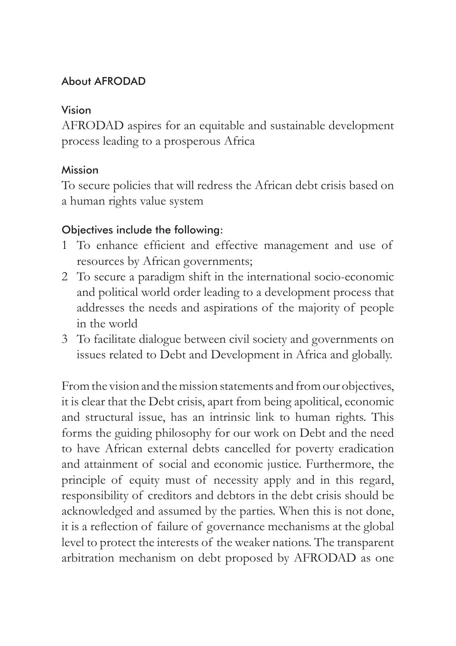#### About AFRODAD

#### Vision

AFRODAD aspires for an equitable and sustainable development process leading to a prosperous Africa

### Mission

To secure policies that will redress the African debt crisis based on a human rights value system

### Objectives include the following:

- 1 To enhance efficient and effective management and use of resources by African governments;
- 2 To secure a paradigm shift in the international socio-economic and political world order leading to a development process that addresses the needs and aspirations of the majority of people in the world
- 3 To facilitate dialogue between civil society and governments on issues related to Debt and Development in Africa and globally.

From the vision and the mission statements and from our objectives, it is clear that the Debt crisis, apart from being apolitical, economic and structural issue, has an intrinsic link to human rights. This forms the guiding philosophy for our work on Debt and the need to have African external debts cancelled for poverty eradication and attainment of social and economic justice. Furthermore, the principle of equity must of necessity apply and in this regard, responsibility of creditors and debtors in the debt crisis should be acknowledged and assumed by the parties. When this is not done, it is a reflection of failure of governance mechanisms at the global level to protect the interests of the weaker nations. The transparent arbitration mechanism on debt proposed by AFRODAD as one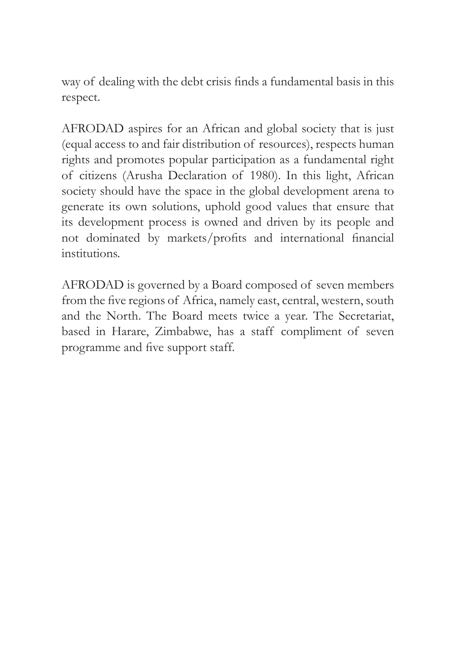way of dealing with the debt crisis finds a fundamental basis in this respect.

AFRODAD aspires for an African and global society that is just (equal access to and fair distribution of resources), respects human rights and promotes popular participation as a fundamental right of citizens (Arusha Declaration of 1980). In this light, African society should have the space in the global development arena to generate its own solutions, uphold good values that ensure that its development process is owned and driven by its people and not dominated by markets/profits and international financial institutions.

AFRODAD is governed by a Board composed of seven members from the five regions of Africa, namely east, central, western, south and the North. The Board meets twice a year. The Secretariat, based in Harare, Zimbabwe, has a staff compliment of seven programme and five support staff.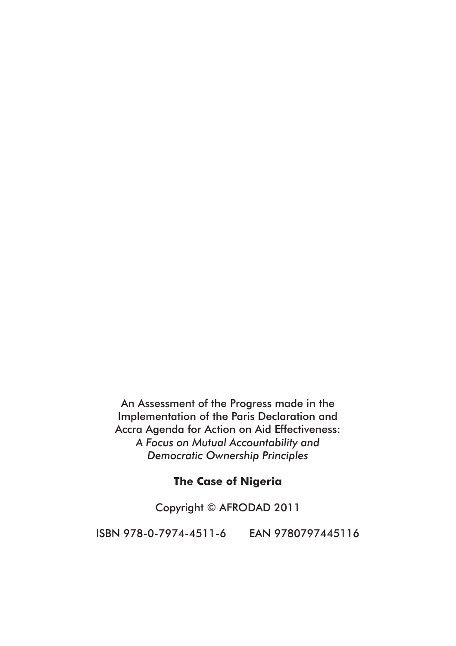An Assessment of the Progress made in the Implementation of the Paris Declaration and Accra Agenda for Action on Aid Effectiveness: *A Focus on Mutual Accountability and Democratic Ownership Principles* 

#### **The Case of Nigeria**

Copyright © AFRODAD 2011

ISBN 978-0-7974-4511-6 EAN 9780797445116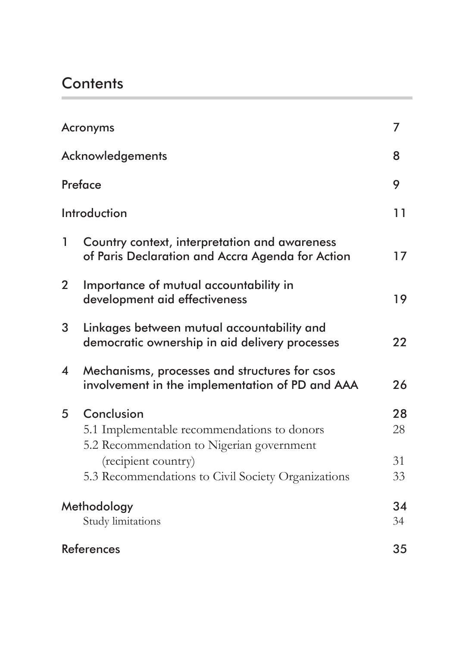# **Contents**

| Acronyms                |                                                                                                   | 7        |
|-------------------------|---------------------------------------------------------------------------------------------------|----------|
| Acknowledgements        |                                                                                                   | 8        |
| Preface                 |                                                                                                   | 9        |
|                         | Introduction                                                                                      | 11       |
| 1                       | Country context, interpretation and awareness<br>of Paris Declaration and Accra Agenda for Action | 17       |
| $\mathbf{2}^{\prime}$   | Importance of mutual accountability in<br>development aid effectiveness                           | 19       |
| 3                       | Linkages between mutual accountability and<br>democratic ownership in aid delivery processes      | 22       |
| $\overline{\mathbf{4}}$ | Mechanisms, processes and structures for csos<br>involvement in the implementation of PD and AAA  | 26       |
| 5                       | Conclusion                                                                                        | 28<br>28 |
|                         | 5.1 Implementable recommendations to donors<br>5.2 Recommendation to Nigerian government          |          |
|                         | (recipient country)                                                                               | 31       |
|                         | 5.3 Recommendations to Civil Society Organizations                                                | 33       |
|                         | Methodology                                                                                       | 34       |
|                         | Study limitations                                                                                 | 34       |
| References              |                                                                                                   | 35       |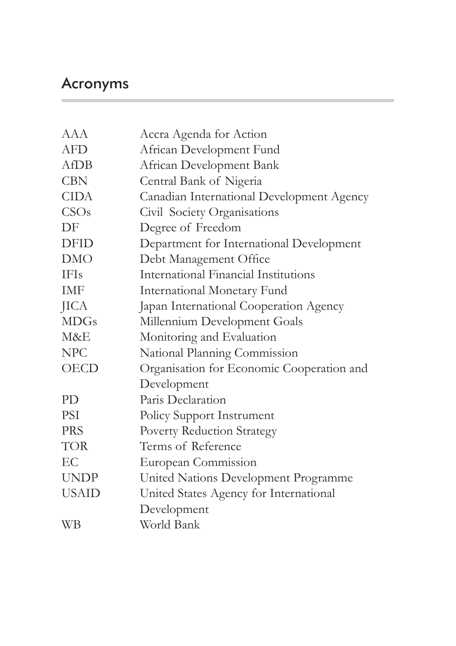# Acronyms

| <b>AAA</b>   | Accra Agenda for Action                   |
|--------------|-------------------------------------------|
| <b>AFD</b>   | African Development Fund                  |
| AfDB         | African Development Bank                  |
| <b>CBN</b>   | Central Bank of Nigeria                   |
| <b>CIDA</b>  | Canadian International Development Agency |
| CSOs         | Civil Society Organisations               |
| DF           | Degree of Freedom                         |
| <b>DFID</b>  | Department for International Development  |
| <b>DMO</b>   | Debt Management Office                    |
| <b>IFIs</b>  | International Financial Institutions      |
| IMF          | <b>International Monetary Fund</b>        |
| <b>JICA</b>  | Japan International Cooperation Agency    |
| <b>MDGs</b>  | Millennium Development Goals              |
| M&E          | Monitoring and Evaluation                 |
| <b>NPC</b>   | National Planning Commission              |
| <b>OECD</b>  | Organisation for Economic Cooperation and |
|              | Development                               |
| PD           | Paris Declaration                         |
| PSI          | Policy Support Instrument                 |
| <b>PRS</b>   | Poverty Reduction Strategy                |
| TOR          | Terms of Reference                        |
| EC           | European Commission                       |
| <b>UNDP</b>  | United Nations Development Programme      |
| <b>USAID</b> | United States Agency for International    |
|              | Development                               |
| <b>WB</b>    | World Bank                                |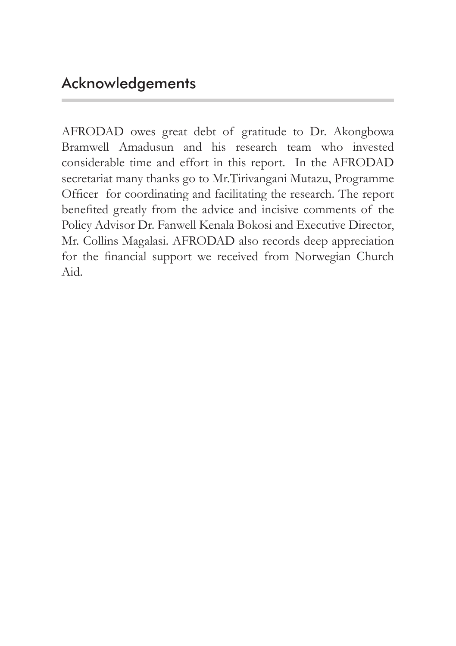AFRODAD owes great debt of gratitude to Dr. Akongbowa Bramwell Amadusun and his research team who invested considerable time and effort in this report. In the AFRODAD secretariat many thanks go to Mr.Tirivangani Mutazu, Programme Officer for coordinating and facilitating the research. The report benefited greatly from the advice and incisive comments of the Policy Advisor Dr. Fanwell Kenala Bokosi and Executive Director, Mr. Collins Magalasi. AFRODAD also records deep appreciation for the financial support we received from Norwegian Church Aid.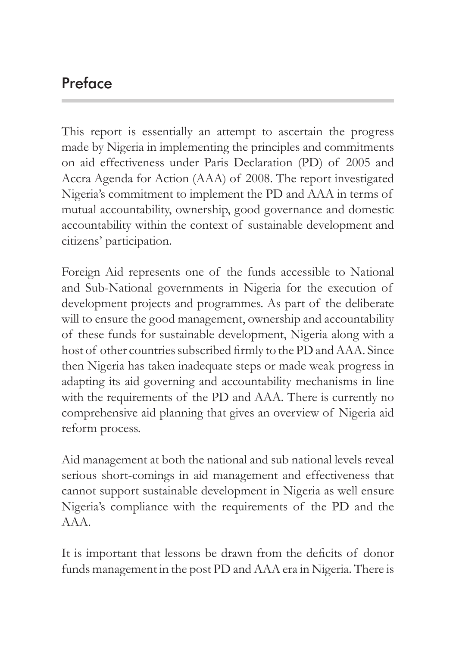# Preface

This report is essentially an attempt to ascertain the progress made by Nigeria in implementing the principles and commitments on aid effectiveness under Paris Declaration (PD) of 2005 and Accra Agenda for Action (AAA) of 2008. The report investigated Nigeria's commitment to implement the PD and AAA in terms of mutual accountability, ownership, good governance and domestic accountability within the context of sustainable development and citizens' participation.

Foreign Aid represents one of the funds accessible to National and Sub-National governments in Nigeria for the execution of development projects and programmes. As part of the deliberate will to ensure the good management, ownership and accountability of these funds for sustainable development, Nigeria along with a host of other countries subscribed firmly to the PD and AAA. Since then Nigeria has taken inadequate steps or made weak progress in adapting its aid governing and accountability mechanisms in line with the requirements of the PD and AAA. There is currently no comprehensive aid planning that gives an overview of Nigeria aid reform process.

Aid management at both the national and sub national levels reveal serious short-comings in aid management and effectiveness that cannot support sustainable development in Nigeria as well ensure Nigeria's compliance with the requirements of the PD and the AAA.

It is important that lessons be drawn from the deficits of donor funds management in the post PD and AAA era in Nigeria. There is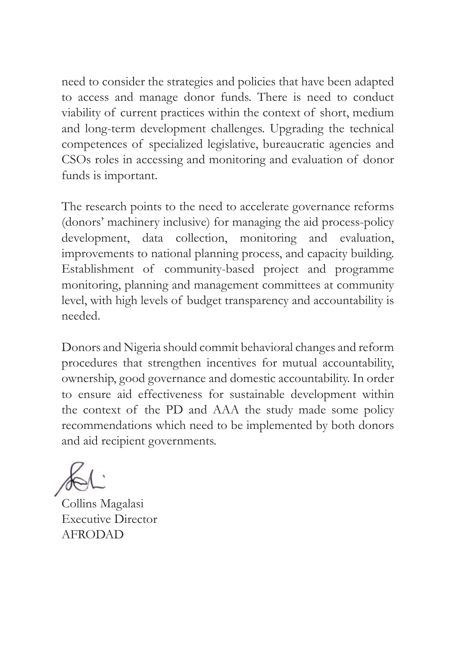need to consider the strategies and policies that have been adapted to access and manage donor funds. There is need to conduct viability of current practices within the context of short, medium and long-term development challenges. Upgrading the technical competences of specialized legislative, bureaucratic agencies and CSOs roles in accessing and monitoring and evaluation of donor funds is important.

The research points to the need to accelerate governance reforms (donors' machinery inclusive) for managing the aid process-policy development, data collection, monitoring and evaluation, improvements to national planning process, and capacity building. Establishment of community-based project and programme monitoring, planning and management committees at community level, with high levels of budget transparency and accountability is needed.

Donors and Nigeria should commit behavioral changes and reform procedures that strengthen incentives for mutual accountability, ownership, good governance and domestic accountability. In order to ensure aid effectiveness for sustainable development within the context of the PD and AAA the study made some policy recommendations which need to be implemented by both donors and aid recipient governments.

Collins Magalasi Executive Director AFRODAD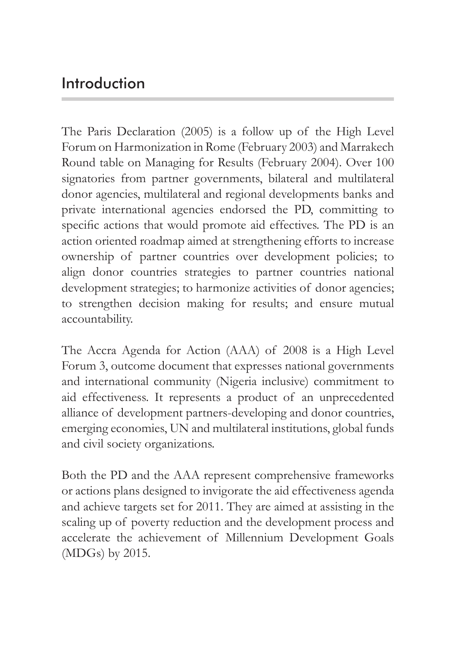### Introduction

The Paris Declaration (2005) is a follow up of the High Level Forum on Harmonization in Rome (February 2003) and Marrakech Round table on Managing for Results (February 2004). Over 100 signatories from partner governments, bilateral and multilateral donor agencies, multilateral and regional developments banks and private international agencies endorsed the PD, committing to specific actions that would promote aid effectives. The PD is an action oriented roadmap aimed at strengthening efforts to increase ownership of partner countries over development policies; to align donor countries strategies to partner countries national development strategies; to harmonize activities of donor agencies; to strengthen decision making for results; and ensure mutual accountability.

The Accra Agenda for Action (AAA) of 2008 is a High Level Forum 3, outcome document that expresses national governments and international community (Nigeria inclusive) commitment to aid effectiveness. It represents a product of an unprecedented alliance of development partners-developing and donor countries, emerging economies, UN and multilateral institutions, global funds and civil society organizations.

Both the PD and the AAA represent comprehensive frameworks or actions plans designed to invigorate the aid effectiveness agenda and achieve targets set for 2011. They are aimed at assisting in the scaling up of poverty reduction and the development process and accelerate the achievement of Millennium Development Goals (MDGs) by 2015.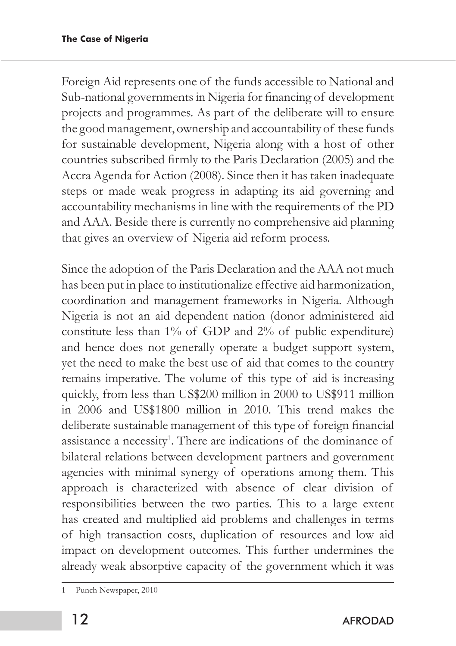Foreign Aid represents one of the funds accessible to National and Sub-national governments in Nigeria for financing of development projects and programmes. As part of the deliberate will to ensure the good management, ownership and accountability of these funds for sustainable development, Nigeria along with a host of other countries subscribed firmly to the Paris Declaration (2005) and the Accra Agenda for Action (2008). Since then it has taken inadequate steps or made weak progress in adapting its aid governing and accountability mechanisms in line with the requirements of the PD and AAA. Beside there is currently no comprehensive aid planning that gives an overview of Nigeria aid reform process.

Since the adoption of the Paris Declaration and the AAA not much has been put in place to institutionalize effective aid harmonization, coordination and management frameworks in Nigeria. Although Nigeria is not an aid dependent nation (donor administered aid constitute less than 1% of GDP and 2% of public expenditure) and hence does not generally operate a budget support system, yet the need to make the best use of aid that comes to the country remains imperative. The volume of this type of aid is increasing quickly, from less than US\$200 million in 2000 to US\$911 million in 2006 and US\$1800 million in 2010. This trend makes the deliberate sustainable management of this type of foreign financial assistance a necessity<sup>1</sup>. There are indications of the dominance of bilateral relations between development partners and government agencies with minimal synergy of operations among them. This approach is characterized with absence of clear division of responsibilities between the two parties. This to a large extent has created and multiplied aid problems and challenges in terms of high transaction costs, duplication of resources and low aid impact on development outcomes. This further undermines the already weak absorptive capacity of the government which it was

<sup>1</sup> Punch Newspaper, 2010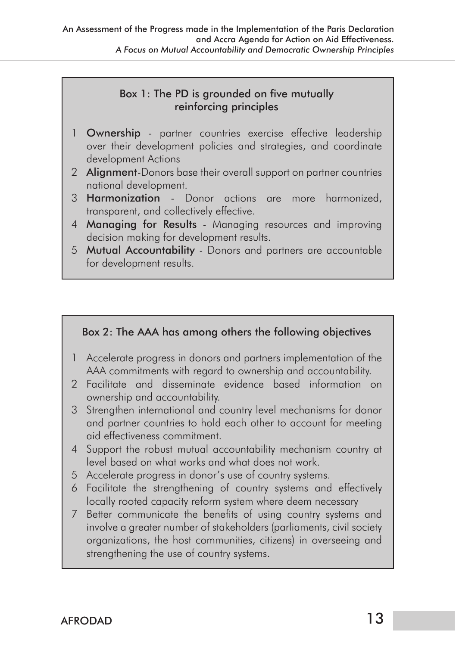#### Box 1: The PD is grounded on five mutually reinforcing principles

- 1 **Ownership** partner countries exercise effective leadership over their development policies and strategies, and coordinate development Actions
- 2 **Alignment-**Donors base their overall support on partner countries national development.
- 3 Harmonization Donor actions are more harmonized, transparent, and collectively effective.
- 4 **Managing for Results** Managing resources and improving decision making for development results.
- 5 Mutual Accountability Donors and partners are accountable for development results.

#### Box 2: The AAA has among others the following objectives

- 1 Accelerate progress in donors and partners implementation of the AAA commitments with regard to ownership and accountability.
- 2 Facilitate and disseminate evidence based information on ownership and accountability.
- 3 Strengthen international and country level mechanisms for donor and partner countries to hold each other to account for meeting aid effectiveness commitment.
- 4 Support the robust mutual accountability mechanism country at level based on what works and what does not work.
- 5 Accelerate progress in donor's use of country systems.
- 6 Facilitate the strengthening of country systems and effectively locally rooted capacity reform system where deem necessary
- 7 Better communicate the benefits of using country systems and involve a greater number of stakeholders (parliaments, civil society organizations, the host communities, citizens) in overseeing and strengthening the use of country systems.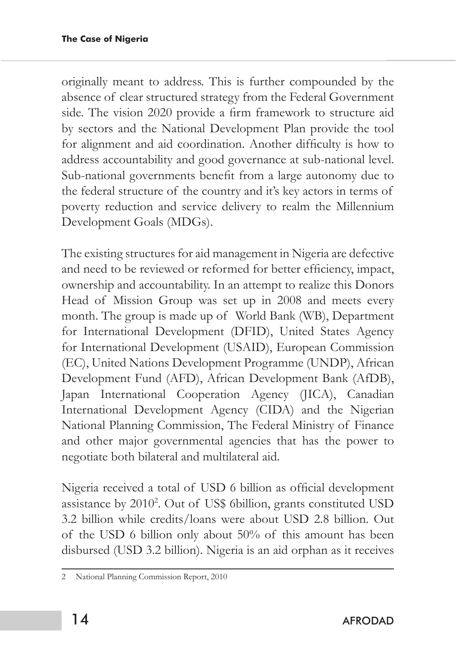originally meant to address. This is further compounded by the absence of clear structured strategy from the Federal Government side. The vision 2020 provide a firm framework to structure aid by sectors and the National Development Plan provide the tool for alignment and aid coordination. Another difficulty is how to address accountability and good governance at sub-national level. Sub-national governments benefit from a large autonomy due to the federal structure of the country and it's key actors in terms of poverty reduction and service delivery to realm the Millennium Development Goals (MDGs).

The existing structures for aid management in Nigeria are defective and need to be reviewed or reformed for better efficiency, impact, ownership and accountability. In an attempt to realize this Donors Head of Mission Group was set up in 2008 and meets every month. The group is made up of World Bank (WB), Department for International Development (DFID), United States Agency for International Development (USAID), European Commission (EC), United Nations Development Programme (UNDP), African Development Fund (AFD), African Development Bank (AfDB), Japan International Cooperation Agency (JICA), Canadian International Development Agency (CIDA) and the Nigerian National Planning Commission, The Federal Ministry of Finance and other major governmental agencies that has the power to negotiate both bilateral and multilateral aid.

Nigeria received a total of USD 6 billion as official development assistance by 20102 . Out of US\$ 6billion, grants constituted USD 3.2 billion while credits/loans were about USD 2.8 billion. Out of the USD 6 billion only about 50% of this amount has been disbursed (USD 3.2 billion). Nigeria is an aid orphan as it receives

<sup>2</sup> National Planning Commission Report, 2010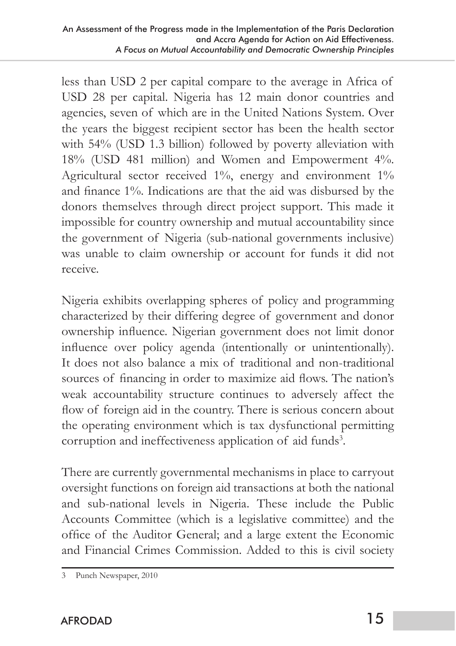less than USD 2 per capital compare to the average in Africa of USD 28 per capital. Nigeria has 12 main donor countries and agencies, seven of which are in the United Nations System. Over the years the biggest recipient sector has been the health sector with 54% (USD 1.3 billion) followed by poverty alleviation with 18% (USD 481 million) and Women and Empowerment 4%. Agricultural sector received 1%, energy and environment 1% and finance 1%. Indications are that the aid was disbursed by the donors themselves through direct project support. This made it impossible for country ownership and mutual accountability since the government of Nigeria (sub-national governments inclusive) was unable to claim ownership or account for funds it did not receive.

Nigeria exhibits overlapping spheres of policy and programming characterized by their differing degree of government and donor ownership influence. Nigerian government does not limit donor influence over policy agenda (intentionally or unintentionally). It does not also balance a mix of traditional and non-traditional sources of financing in order to maximize aid flows. The nation's weak accountability structure continues to adversely affect the flow of foreign aid in the country. There is serious concern about the operating environment which is tax dysfunctional permitting corruption and ineffectiveness application of aid funds<sup>3</sup>.

There are currently governmental mechanisms in place to carryout oversight functions on foreign aid transactions at both the national and sub-national levels in Nigeria. These include the Public Accounts Committee (which is a legislative committee) and the office of the Auditor General; and a large extent the Economic and Financial Crimes Commission. Added to this is civil society

<sup>3</sup> Punch Newspaper, 2010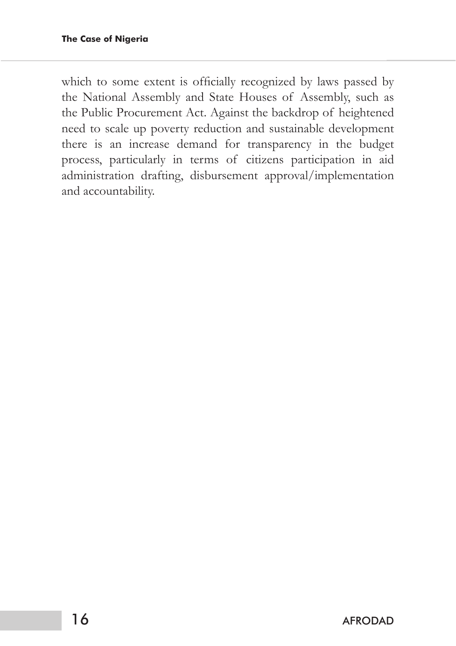which to some extent is officially recognized by laws passed by the National Assembly and State Houses of Assembly, such as the Public Procurement Act. Against the backdrop of heightened need to scale up poverty reduction and sustainable development there is an increase demand for transparency in the budget process, particularly in terms of citizens participation in aid administration drafting, disbursement approval/implementation and accountability.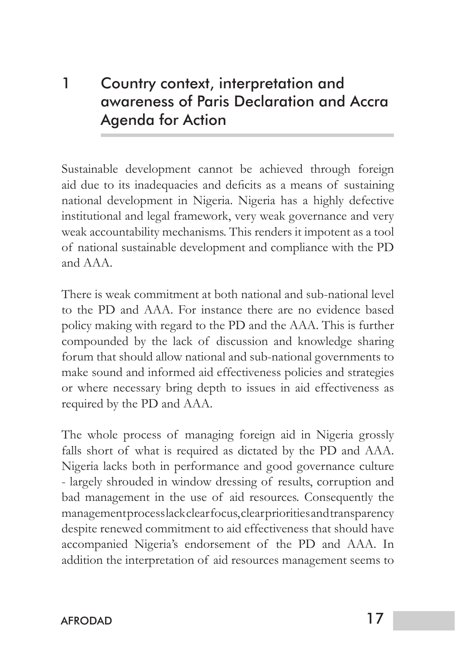# 1 Country context, interpretation and awareness of Paris Declaration and Accra Agenda for Action

Sustainable development cannot be achieved through foreign aid due to its inadequacies and deficits as a means of sustaining national development in Nigeria. Nigeria has a highly defective institutional and legal framework, very weak governance and very weak accountability mechanisms. This renders it impotent as a tool of national sustainable development and compliance with the PD and AAA.

There is weak commitment at both national and sub-national level to the PD and AAA. For instance there are no evidence based policy making with regard to the PD and the AAA. This is further compounded by the lack of discussion and knowledge sharing forum that should allow national and sub-national governments to make sound and informed aid effectiveness policies and strategies or where necessary bring depth to issues in aid effectiveness as required by the PD and AAA.

The whole process of managing foreign aid in Nigeria grossly falls short of what is required as dictated by the PD and AAA. Nigeria lacks both in performance and good governance culture - largely shrouded in window dressing of results, corruption and bad management in the use of aid resources. Consequently the management process lack clear focus, clear priorities and transparency despite renewed commitment to aid effectiveness that should have accompanied Nigeria's endorsement of the PD and AAA. In addition the interpretation of aid resources management seems to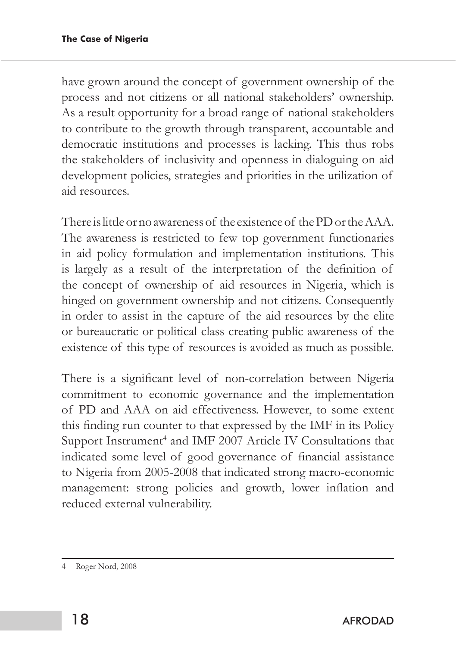have grown around the concept of government ownership of the process and not citizens or all national stakeholders' ownership. As a result opportunity for a broad range of national stakeholders to contribute to the growth through transparent, accountable and democratic institutions and processes is lacking. This thus robs the stakeholders of inclusivity and openness in dialoguing on aid development policies, strategies and priorities in the utilization of aid resources.

There is little or no awareness of the existence of the PD or the AAA. The awareness is restricted to few top government functionaries in aid policy formulation and implementation institutions. This is largely as a result of the interpretation of the definition of the concept of ownership of aid resources in Nigeria, which is hinged on government ownership and not citizens. Consequently in order to assist in the capture of the aid resources by the elite or bureaucratic or political class creating public awareness of the existence of this type of resources is avoided as much as possible.

There is a significant level of non-correlation between Nigeria commitment to economic governance and the implementation of PD and AAA on aid effectiveness. However, to some extent this finding run counter to that expressed by the IMF in its Policy Support Instrument<sup>4</sup> and IMF 2007 Article IV Consultations that indicated some level of good governance of financial assistance to Nigeria from 2005-2008 that indicated strong macro-economic management: strong policies and growth, lower inflation and reduced external vulnerability.

<sup>4</sup> Roger Nord, 2008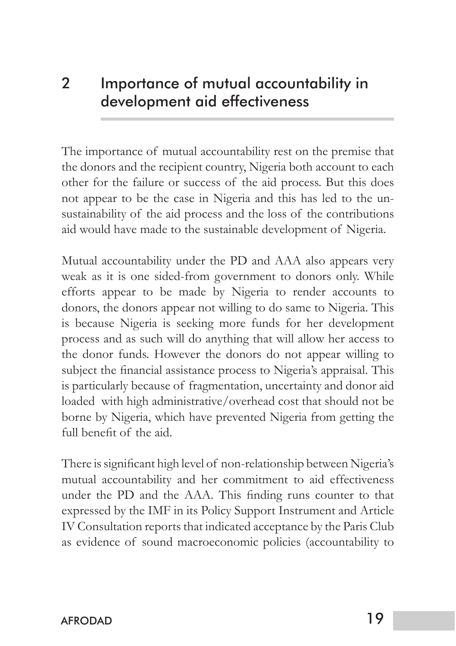### 2 Importance of mutual accountability in development aid effectiveness

The importance of mutual accountability rest on the premise that the donors and the recipient country, Nigeria both account to each other for the failure or success of the aid process. But this does not appear to be the case in Nigeria and this has led to the unsustainability of the aid process and the loss of the contributions aid would have made to the sustainable development of Nigeria.

Mutual accountability under the PD and AAA also appears very weak as it is one sided-from government to donors only. While efforts appear to be made by Nigeria to render accounts to donors, the donors appear not willing to do same to Nigeria. This is because Nigeria is seeking more funds for her development process and as such will do anything that will allow her access to the donor funds. However the donors do not appear willing to subject the financial assistance process to Nigeria's appraisal. This is particularly because of fragmentation, uncertainty and donor aid loaded with high administrative/overhead cost that should not be borne by Nigeria, which have prevented Nigeria from getting the full benefit of the aid.

There is significant high level of non-relationship between Nigeria's mutual accountability and her commitment to aid effectiveness under the PD and the AAA. This finding runs counter to that expressed by the IMF in its Policy Support Instrument and Article IV Consultation reports that indicated acceptance by the Paris Club as evidence of sound macroeconomic policies (accountability to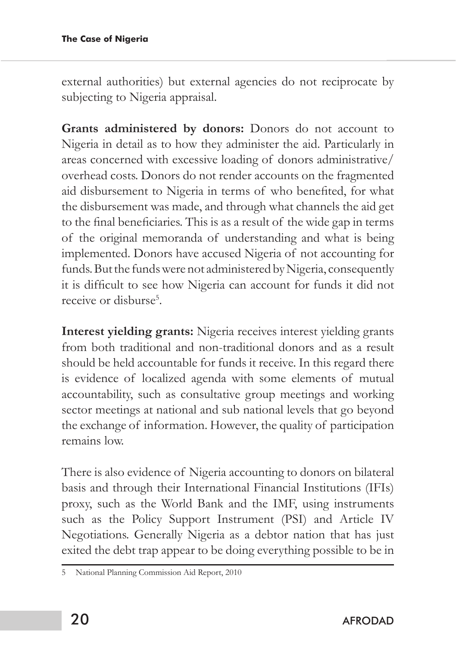external authorities) but external agencies do not reciprocate by subjecting to Nigeria appraisal.

**Grants administered by donors:** Donors do not account to Nigeria in detail as to how they administer the aid. Particularly in areas concerned with excessive loading of donors administrative/ overhead costs. Donors do not render accounts on the fragmented aid disbursement to Nigeria in terms of who benefited, for what the disbursement was made, and through what channels the aid get to the final beneficiaries. This is as a result of the wide gap in terms of the original memoranda of understanding and what is being implemented. Donors have accused Nigeria of not accounting for funds. But the funds were not administered by Nigeria, consequently it is difficult to see how Nigeria can account for funds it did not receive or disburse<sup>5</sup>.

**Interest yielding grants:** Nigeria receives interest yielding grants from both traditional and non-traditional donors and as a result should be held accountable for funds it receive. In this regard there is evidence of localized agenda with some elements of mutual accountability, such as consultative group meetings and working sector meetings at national and sub national levels that go beyond the exchange of information. However, the quality of participation remains low.

There is also evidence of Nigeria accounting to donors on bilateral basis and through their International Financial Institutions (IFIs) proxy, such as the World Bank and the IMF, using instruments such as the Policy Support Instrument (PSI) and Article IV Negotiations. Generally Nigeria as a debtor nation that has just exited the debt trap appear to be doing everything possible to be in

<sup>5</sup> National Planning Commission Aid Report, 2010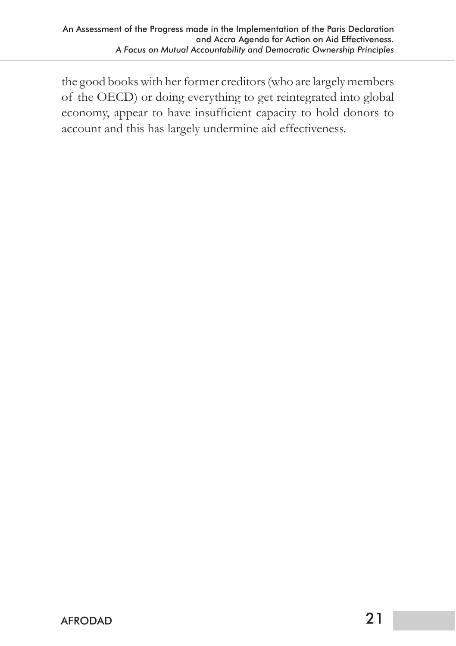the good books with her former creditors (who are largely members of the OECD) or doing everything to get reintegrated into global economy, appear to have insufficient capacity to hold donors to account and this has largely undermine aid effectiveness.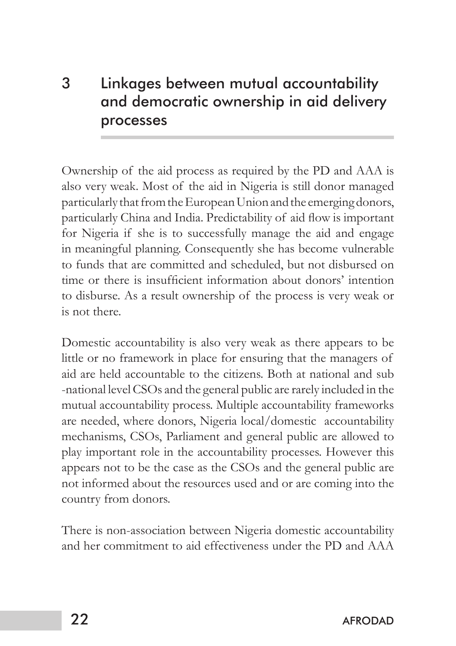# 3 Linkages between mutual accountability and democratic ownership in aid delivery processes

Ownership of the aid process as required by the PD and AAA is also very weak. Most of the aid in Nigeria is still donor managed particularly that from the European Union and the emerging donors, particularly China and India. Predictability of aid flow is important for Nigeria if she is to successfully manage the aid and engage in meaningful planning. Consequently she has become vulnerable to funds that are committed and scheduled, but not disbursed on time or there is insufficient information about donors' intention to disburse. As a result ownership of the process is very weak or is not there.

Domestic accountability is also very weak as there appears to be little or no framework in place for ensuring that the managers of aid are held accountable to the citizens. Both at national and sub -national level CSOs and the general public are rarely included in the mutual accountability process. Multiple accountability frameworks are needed, where donors, Nigeria local/domestic accountability mechanisms, CSOs, Parliament and general public are allowed to play important role in the accountability processes. However this appears not to be the case as the CSOs and the general public are not informed about the resources used and or are coming into the country from donors.

There is non-association between Nigeria domestic accountability and her commitment to aid effectiveness under the PD and AAA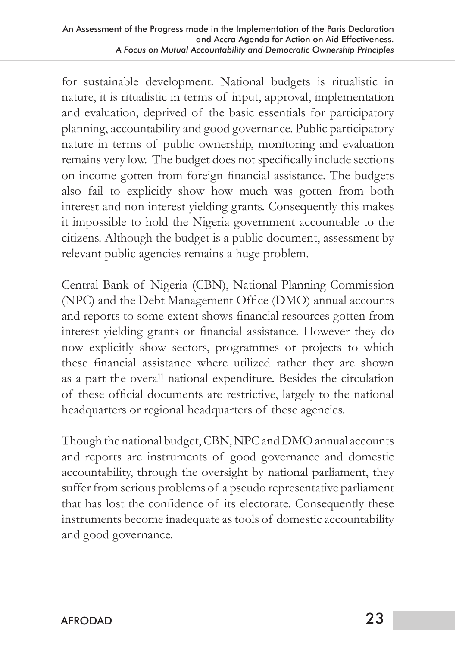for sustainable development. National budgets is ritualistic in nature, it is ritualistic in terms of input, approval, implementation and evaluation, deprived of the basic essentials for participatory planning, accountability and good governance. Public participatory nature in terms of public ownership, monitoring and evaluation remains very low. The budget does not specifically include sections on income gotten from foreign financial assistance. The budgets also fail to explicitly show how much was gotten from both interest and non interest yielding grants. Consequently this makes it impossible to hold the Nigeria government accountable to the citizens. Although the budget is a public document, assessment by relevant public agencies remains a huge problem.

Central Bank of Nigeria (CBN), National Planning Commission (NPC) and the Debt Management Office (DMO) annual accounts and reports to some extent shows financial resources gotten from interest yielding grants or financial assistance. However they do now explicitly show sectors, programmes or projects to which these financial assistance where utilized rather they are shown as a part the overall national expenditure. Besides the circulation of these official documents are restrictive, largely to the national headquarters or regional headquarters of these agencies.

Though the national budget, CBN, NPC and DMO annual accounts and reports are instruments of good governance and domestic accountability, through the oversight by national parliament, they suffer from serious problems of a pseudo representative parliament that has lost the confidence of its electorate. Consequently these instruments become inadequate as tools of domestic accountability and good governance.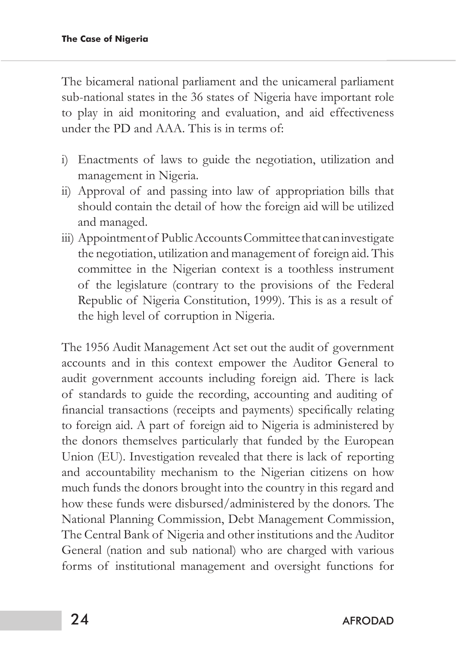The bicameral national parliament and the unicameral parliament sub-national states in the 36 states of Nigeria have important role to play in aid monitoring and evaluation, and aid effectiveness under the PD and AAA. This is in terms of:

- i) Enactments of laws to guide the negotiation, utilization and management in Nigeria.
- ii) Approval of and passing into law of appropriation bills that should contain the detail of how the foreign aid will be utilized and managed.
- iii) Appointment of Public Accounts Committee that can investigate the negotiation, utilization and management of foreign aid. This committee in the Nigerian context is a toothless instrument of the legislature (contrary to the provisions of the Federal Republic of Nigeria Constitution, 1999). This is as a result of the high level of corruption in Nigeria.

The 1956 Audit Management Act set out the audit of government accounts and in this context empower the Auditor General to audit government accounts including foreign aid. There is lack of standards to guide the recording, accounting and auditing of financial transactions (receipts and payments) specifically relating to foreign aid. A part of foreign aid to Nigeria is administered by the donors themselves particularly that funded by the European Union (EU). Investigation revealed that there is lack of reporting and accountability mechanism to the Nigerian citizens on how much funds the donors brought into the country in this regard and how these funds were disbursed/administered by the donors. The National Planning Commission, Debt Management Commission, The Central Bank of Nigeria and other institutions and the Auditor General (nation and sub national) who are charged with various forms of institutional management and oversight functions for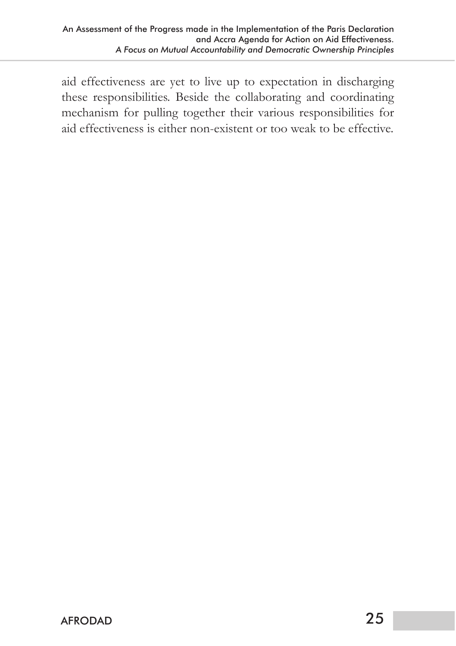aid effectiveness are yet to live up to expectation in discharging these responsibilities. Beside the collaborating and coordinating mechanism for pulling together their various responsibilities for aid effectiveness is either non-existent or too weak to be effective.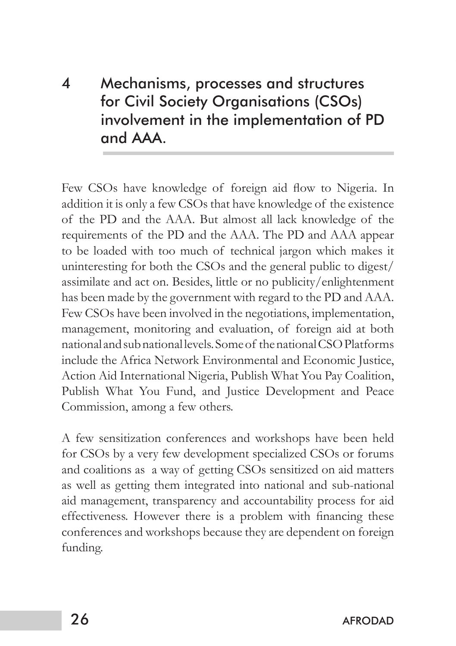4 Mechanisms, processes and structures for Civil Society Organisations (CSOs) involvement in the implementation of PD and AAA.

Few CSOs have knowledge of foreign aid flow to Nigeria. In addition it is only a few CSOs that have knowledge of the existence of the PD and the AAA. But almost all lack knowledge of the requirements of the PD and the AAA. The PD and AAA appear to be loaded with too much of technical jargon which makes it uninteresting for both the CSOs and the general public to digest/ assimilate and act on. Besides, little or no publicity/enlightenment has been made by the government with regard to the PD and AAA. Few CSOs have been involved in the negotiations, implementation, management, monitoring and evaluation, of foreign aid at both national and sub national levels. Some of the national CSO Platforms include the Africa Network Environmental and Economic Justice, Action Aid International Nigeria, Publish What You Pay Coalition, Publish What You Fund, and Justice Development and Peace Commission, among a few others.

A few sensitization conferences and workshops have been held for CSOs by a very few development specialized CSOs or forums and coalitions as a way of getting CSOs sensitized on aid matters as well as getting them integrated into national and sub-national aid management, transparency and accountability process for aid effectiveness. However there is a problem with financing these conferences and workshops because they are dependent on foreign funding.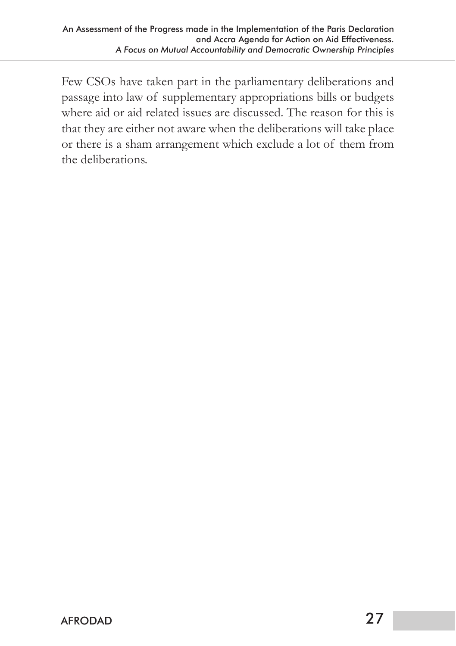Few CSOs have taken part in the parliamentary deliberations and passage into law of supplementary appropriations bills or budgets where aid or aid related issues are discussed. The reason for this is that they are either not aware when the deliberations will take place or there is a sham arrangement which exclude a lot of them from the deliberations.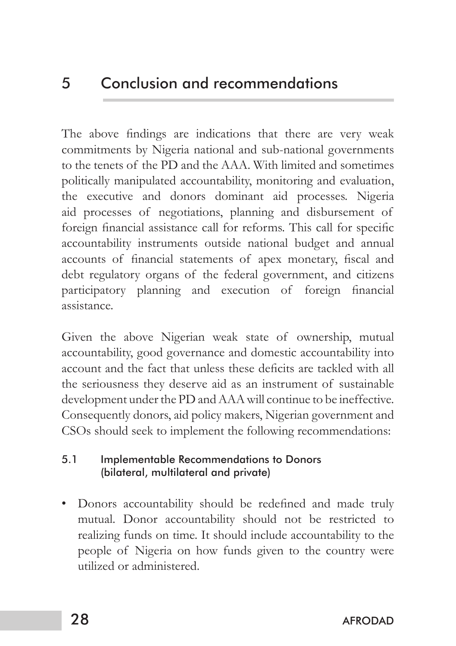### 5 Conclusion and recommendations

The above findings are indications that there are very weak commitments by Nigeria national and sub-national governments to the tenets of the PD and the AAA. With limited and sometimes politically manipulated accountability, monitoring and evaluation, the executive and donors dominant aid processes. Nigeria aid processes of negotiations, planning and disbursement of foreign financial assistance call for reforms. This call for specific accountability instruments outside national budget and annual accounts of financial statements of apex monetary, fiscal and debt regulatory organs of the federal government, and citizens participatory planning and execution of foreign financial assistance.

Given the above Nigerian weak state of ownership, mutual accountability, good governance and domestic accountability into account and the fact that unless these deficits are tackled with all the seriousness they deserve aid as an instrument of sustainable development under the PD and AAA will continue to be ineffective. Consequently donors, aid policy makers, Nigerian government and CSOs should seek to implement the following recommendations:

#### 5.1 Implementable Recommendations to Donors (bilateral, multilateral and private)

• Donors accountability should be redefined and made truly mutual. Donor accountability should not be restricted to realizing funds on time. It should include accountability to the people of Nigeria on how funds given to the country were utilized or administered.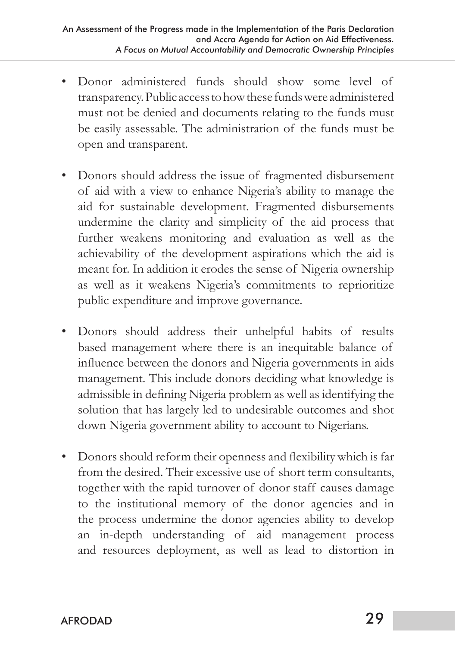- Donor administered funds should show some level of transparency. Public access to how these funds were administered must not be denied and documents relating to the funds must be easily assessable. The administration of the funds must be open and transparent.
- Donors should address the issue of fragmented disbursement of aid with a view to enhance Nigeria's ability to manage the aid for sustainable development. Fragmented disbursements undermine the clarity and simplicity of the aid process that further weakens monitoring and evaluation as well as the achievability of the development aspirations which the aid is meant for. In addition it erodes the sense of Nigeria ownership as well as it weakens Nigeria's commitments to reprioritize public expenditure and improve governance.
- • Donors should address their unhelpful habits of results based management where there is an inequitable balance of influence between the donors and Nigeria governments in aids management. This include donors deciding what knowledge is admissible in defining Nigeria problem as well as identifying the solution that has largely led to undesirable outcomes and shot down Nigeria government ability to account to Nigerians.
- Donors should reform their openness and flexibility which is far from the desired. Their excessive use of short term consultants, together with the rapid turnover of donor staff causes damage to the institutional memory of the donor agencies and in the process undermine the donor agencies ability to develop an in-depth understanding of aid management process and resources deployment, as well as lead to distortion in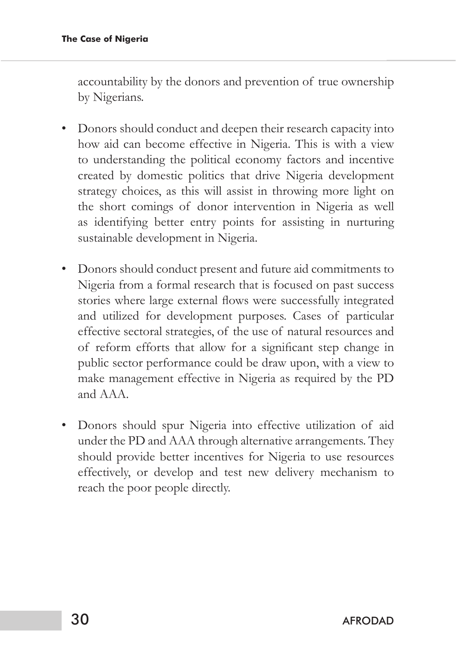accountability by the donors and prevention of true ownership by Nigerians.

- Donors should conduct and deepen their research capacity into how aid can become effective in Nigeria. This is with a view to understanding the political economy factors and incentive created by domestic politics that drive Nigeria development strategy choices, as this will assist in throwing more light on the short comings of donor intervention in Nigeria as well as identifying better entry points for assisting in nurturing sustainable development in Nigeria.
- • Donors should conduct present and future aid commitments to Nigeria from a formal research that is focused on past success stories where large external flows were successfully integrated and utilized for development purposes. Cases of particular effective sectoral strategies, of the use of natural resources and of reform efforts that allow for a significant step change in public sector performance could be draw upon, with a view to make management effective in Nigeria as required by the PD and AAA.
- • Donors should spur Nigeria into effective utilization of aid under the PD and AAA through alternative arrangements. They should provide better incentives for Nigeria to use resources effectively, or develop and test new delivery mechanism to reach the poor people directly.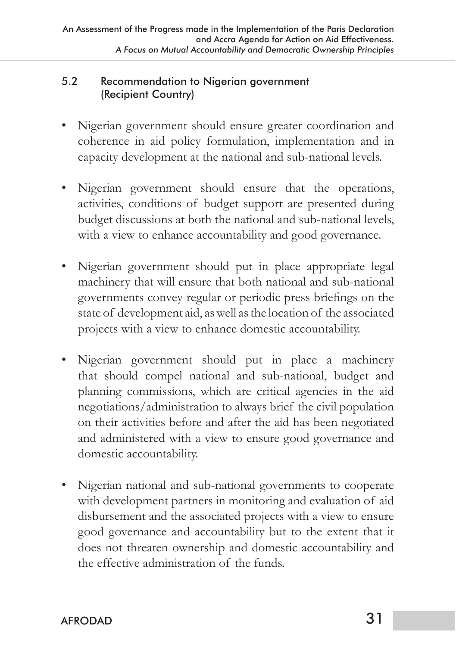#### 5.2 Recommendation to Nigerian government (Recipient Country)

- Nigerian government should ensure greater coordination and coherence in aid policy formulation, implementation and in capacity development at the national and sub-national levels.
- • Nigerian government should ensure that the operations, activities, conditions of budget support are presented during budget discussions at both the national and sub-national levels, with a view to enhance accountability and good governance.
- Nigerian government should put in place appropriate legal machinery that will ensure that both national and sub-national governments convey regular or periodic press briefings on the state of development aid, as well as the location of the associated projects with a view to enhance domestic accountability.
- Nigerian government should put in place a machinery that should compel national and sub-national, budget and planning commissions, which are critical agencies in the aid negotiations/administration to always brief the civil population on their activities before and after the aid has been negotiated and administered with a view to ensure good governance and domestic accountability.
- Nigerian national and sub-national governments to cooperate with development partners in monitoring and evaluation of aid disbursement and the associated projects with a view to ensure good governance and accountability but to the extent that it does not threaten ownership and domestic accountability and the effective administration of the funds.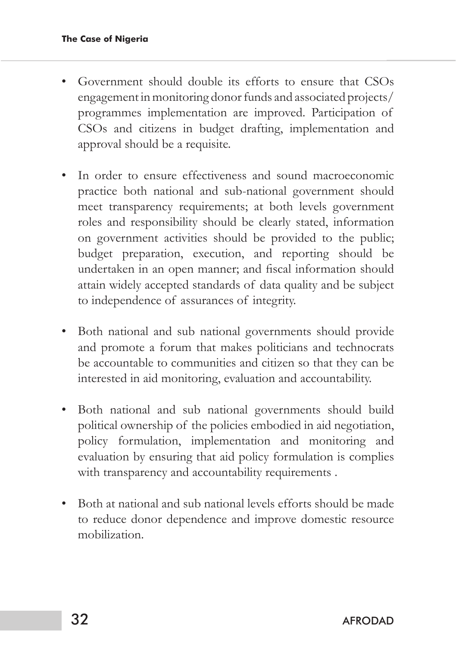- Government should double its efforts to ensure that CSOs engagement in monitoring donor funds and associated projects/ programmes implementation are improved. Participation of CSOs and citizens in budget drafting, implementation and approval should be a requisite.
- In order to ensure effectiveness and sound macroeconomic practice both national and sub-national government should meet transparency requirements; at both levels government roles and responsibility should be clearly stated, information on government activities should be provided to the public; budget preparation, execution, and reporting should be undertaken in an open manner; and fiscal information should attain widely accepted standards of data quality and be subject to independence of assurances of integrity.
- Both national and sub national governments should provide and promote a forum that makes politicians and technocrats be accountable to communities and citizen so that they can be interested in aid monitoring, evaluation and accountability.
- Both national and sub national governments should build political ownership of the policies embodied in aid negotiation, policy formulation, implementation and monitoring and evaluation by ensuring that aid policy formulation is complies with transparency and accountability requirements .
- Both at national and sub national levels efforts should be made to reduce donor dependence and improve domestic resource mobilization.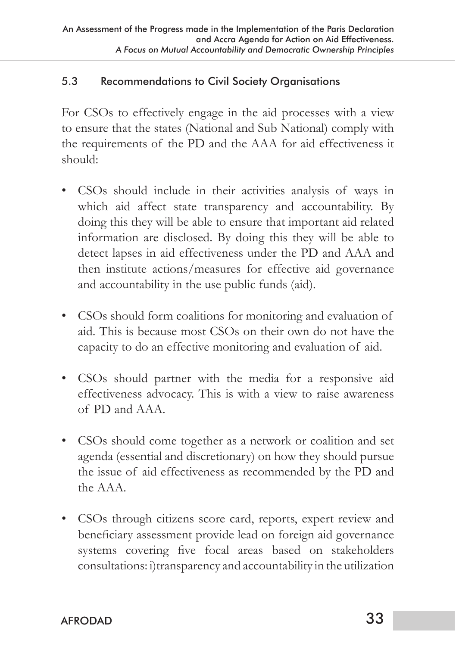#### 5.3 Recommendations to Civil Society Organisations

For CSOs to effectively engage in the aid processes with a view to ensure that the states (National and Sub National) comply with the requirements of the PD and the AAA for aid effectiveness it should:

- • CSOs should include in their activities analysis of ways in which aid affect state transparency and accountability. By doing this they will be able to ensure that important aid related information are disclosed. By doing this they will be able to detect lapses in aid effectiveness under the PD and AAA and then institute actions/measures for effective aid governance and accountability in the use public funds (aid).
- • CSOs should form coalitions for monitoring and evaluation of aid. This is because most CSOs on their own do not have the capacity to do an effective monitoring and evaluation of aid.
- CSOs should partner with the media for a responsive aid effectiveness advocacy. This is with a view to raise awareness of PD and AAA.
- CSOs should come together as a network or coalition and set agenda (essential and discretionary) on how they should pursue the issue of aid effectiveness as recommended by the PD and the AAA.
- • CSOs through citizens score card, reports, expert review and beneficiary assessment provide lead on foreign aid governance systems covering five focal areas based on stakeholders consultations: i)transparency and accountability in the utilization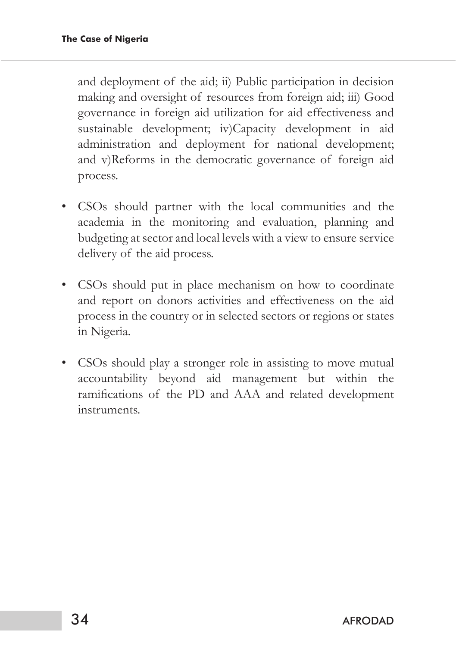and deployment of the aid; ii) Public participation in decision making and oversight of resources from foreign aid; iii) Good governance in foreign aid utilization for aid effectiveness and sustainable development; iv)Capacity development in aid administration and deployment for national development; and v)Reforms in the democratic governance of foreign aid process.

- • CSOs should partner with the local communities and the academia in the monitoring and evaluation, planning and budgeting at sector and local levels with a view to ensure service delivery of the aid process.
- • CSOs should put in place mechanism on how to coordinate and report on donors activities and effectiveness on the aid process in the country or in selected sectors or regions or states in Nigeria.
- CSOs should play a stronger role in assisting to move mutual accountability beyond aid management but within the ramifications of the PD and AAA and related development instruments.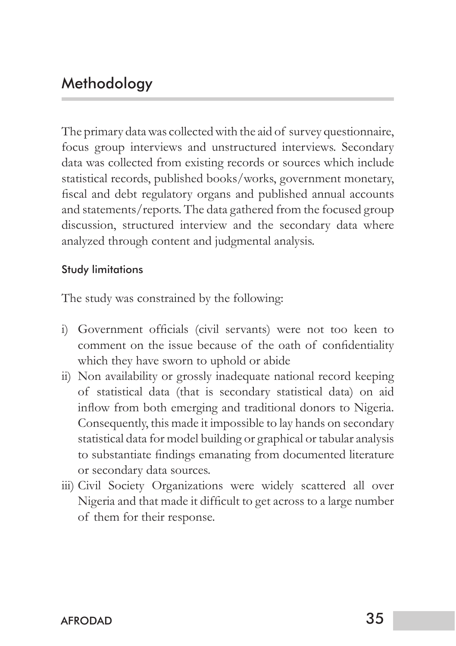### **Methodology**

The primary data was collected with the aid of survey questionnaire, focus group interviews and unstructured interviews. Secondary data was collected from existing records or sources which include statistical records, published books/works, government monetary, fiscal and debt regulatory organs and published annual accounts and statements/reports. The data gathered from the focused group discussion, structured interview and the secondary data where analyzed through content and judgmental analysis.

#### Study limitations

The study was constrained by the following:

- i) Government officials (civil servants) were not too keen to comment on the issue because of the oath of confidentiality which they have sworn to uphold or abide
- ii) Non availability or grossly inadequate national record keeping of statistical data (that is secondary statistical data) on aid inflow from both emerging and traditional donors to Nigeria. Consequently, this made it impossible to lay hands on secondary statistical data for model building or graphical or tabular analysis to substantiate findings emanating from documented literature or secondary data sources.
- iii) Civil Society Organizations were widely scattered all over Nigeria and that made it difficult to get across to a large number of them for their response.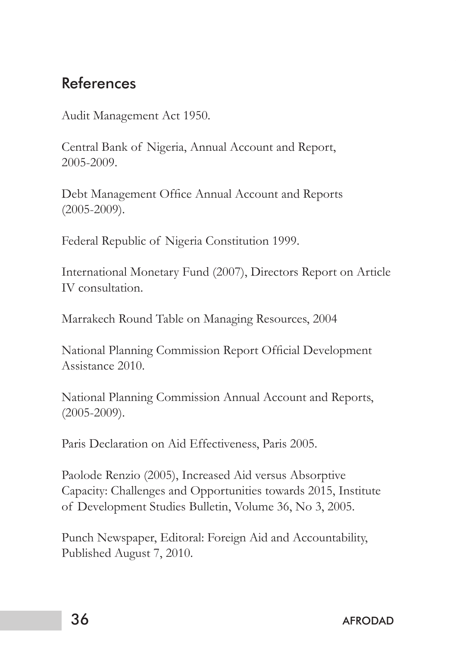## References

Audit Management Act 1950.

Central Bank of Nigeria, Annual Account and Report, 2005-2009.

Debt Management Office Annual Account and Reports (2005-2009).

Federal Republic of Nigeria Constitution 1999.

International Monetary Fund (2007), Directors Report on Article IV consultation.

Marrakech Round Table on Managing Resources, 2004

National Planning Commission Report Official Development Assistance 2010.

National Planning Commission Annual Account and Reports, (2005-2009).

Paris Declaration on Aid Effectiveness, Paris 2005.

Paolode Renzio (2005), Increased Aid versus Absorptive Capacity: Challenges and Opportunities towards 2015, Institute of Development Studies Bulletin, Volume 36, No 3, 2005.

Punch Newspaper, Editoral: Foreign Aid and Accountability, Published August 7, 2010.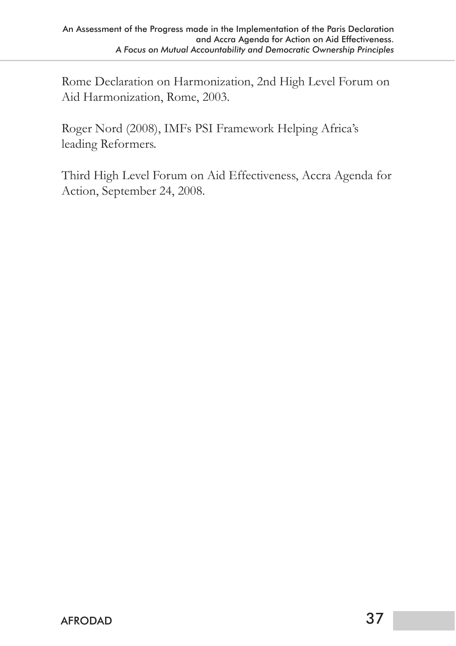Rome Declaration on Harmonization, 2nd High Level Forum on Aid Harmonization, Rome, 2003.

Roger Nord (2008), IMFs PSI Framework Helping Africa's leading Reformers.

Third High Level Forum on Aid Effectiveness, Accra Agenda for Action, September 24, 2008.